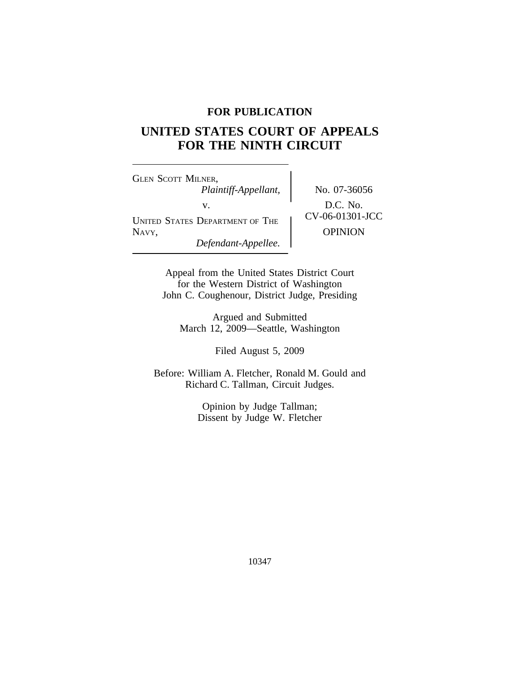# **FOR PUBLICATION**

# **UNITED STATES COURT OF APPEALS FOR THE NINTH CIRCUIT**

<sup>G</sup>LEN SCOTT MILNER, *Plaintiff-Appellant,* No. 07-36056 V.<br>
UNITED STATES DEPARTMENT OF THE CV-06-01301-JCC NAVY, OPINION *Defendant-Appellee.*

Appeal from the United States District Court for the Western District of Washington John C. Coughenour, District Judge, Presiding

Argued and Submitted March 12, 2009—Seattle, Washington

Filed August 5, 2009

Before: William A. Fletcher, Ronald M. Gould and Richard C. Tallman, Circuit Judges.

> Opinion by Judge Tallman; Dissent by Judge W. Fletcher

> > 10347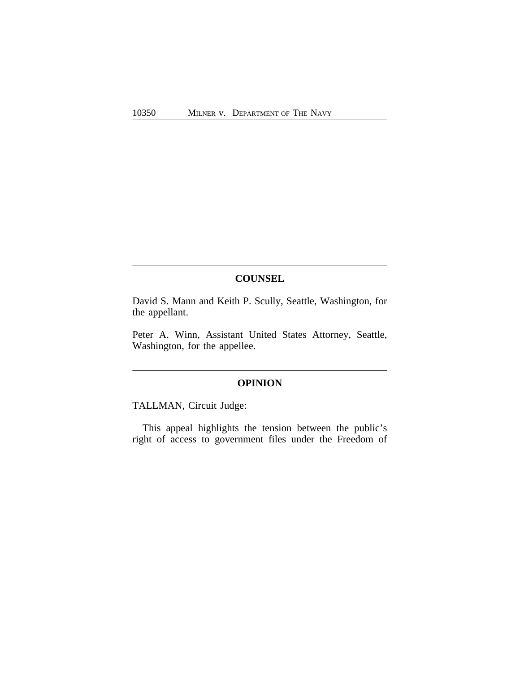# **COUNSEL**

David S. Mann and Keith P. Scully, Seattle, Washington, for the appellant.

Peter A. Winn, Assistant United States Attorney, Seattle, Washington, for the appellee.

# **OPINION**

TALLMAN, Circuit Judge:

This appeal highlights the tension between the public's right of access to government files under the Freedom of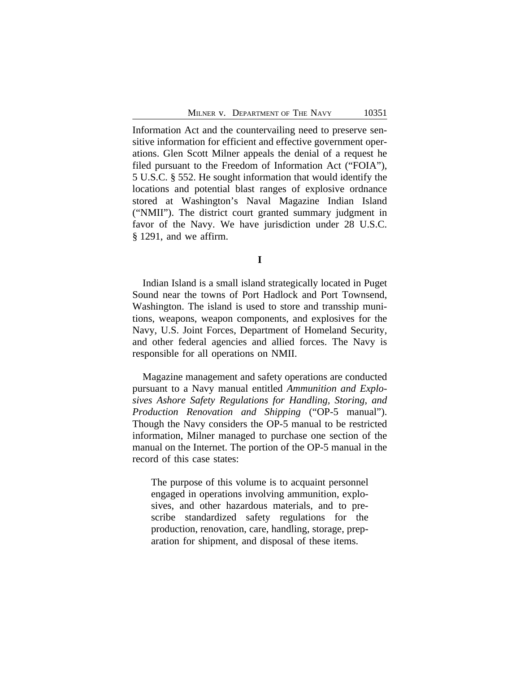Information Act and the countervailing need to preserve sensitive information for efficient and effective government operations. Glen Scott Milner appeals the denial of a request he filed pursuant to the Freedom of Information Act ("FOIA"), 5 U.S.C. § 552. He sought information that would identify the locations and potential blast ranges of explosive ordnance stored at Washington's Naval Magazine Indian Island ("NMII"). The district court granted summary judgment in favor of the Navy. We have jurisdiction under 28 U.S.C. § 1291, and we affirm.

**I**

Indian Island is a small island strategically located in Puget Sound near the towns of Port Hadlock and Port Townsend, Washington. The island is used to store and transship munitions, weapons, weapon components, and explosives for the Navy, U.S. Joint Forces, Department of Homeland Security, and other federal agencies and allied forces. The Navy is responsible for all operations on NMII.

Magazine management and safety operations are conducted pursuant to a Navy manual entitled *Ammunition and Explosives Ashore Safety Regulations for Handling, Storing, and Production Renovation and Shipping* ("OP-5 manual"). Though the Navy considers the OP-5 manual to be restricted information, Milner managed to purchase one section of the manual on the Internet. The portion of the OP-5 manual in the record of this case states:

The purpose of this volume is to acquaint personnel engaged in operations involving ammunition, explosives, and other hazardous materials, and to prescribe standardized safety regulations for the production, renovation, care, handling, storage, preparation for shipment, and disposal of these items.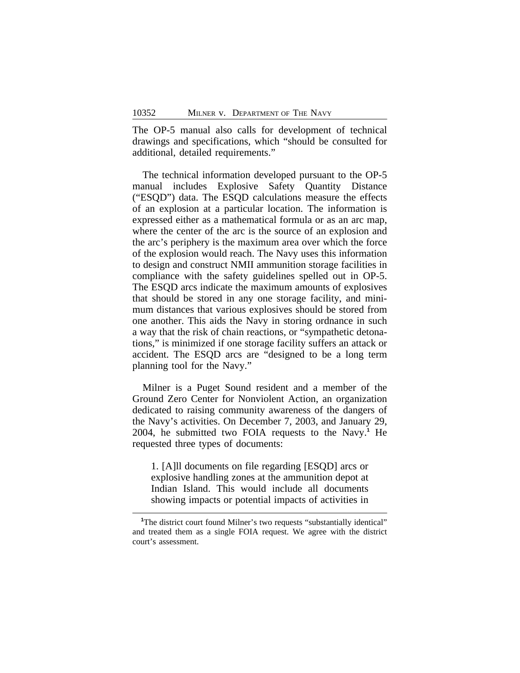The OP-5 manual also calls for development of technical drawings and specifications, which "should be consulted for additional, detailed requirements."

The technical information developed pursuant to the OP-5 manual includes Explosive Safety Quantity Distance ("ESQD") data. The ESQD calculations measure the effects of an explosion at a particular location. The information is expressed either as a mathematical formula or as an arc map, where the center of the arc is the source of an explosion and the arc's periphery is the maximum area over which the force of the explosion would reach. The Navy uses this information to design and construct NMII ammunition storage facilities in compliance with the safety guidelines spelled out in OP-5. The ESQD arcs indicate the maximum amounts of explosives that should be stored in any one storage facility, and minimum distances that various explosives should be stored from one another. This aids the Navy in storing ordnance in such a way that the risk of chain reactions, or "sympathetic detonations," is minimized if one storage facility suffers an attack or accident. The ESQD arcs are "designed to be a long term planning tool for the Navy."

Milner is a Puget Sound resident and a member of the Ground Zero Center for Nonviolent Action, an organization dedicated to raising community awareness of the dangers of the Navy's activities. On December 7, 2003, and January 29, 2004, he submitted two FOIA requests to the Navy.**<sup>1</sup>** He requested three types of documents:

1. [A]ll documents on file regarding [ESQD] arcs or explosive handling zones at the ammunition depot at Indian Island. This would include all documents showing impacts or potential impacts of activities in

<sup>&</sup>lt;sup>1</sup>The district court found Milner's two requests "substantially identical" and treated them as a single FOIA request. We agree with the district court's assessment.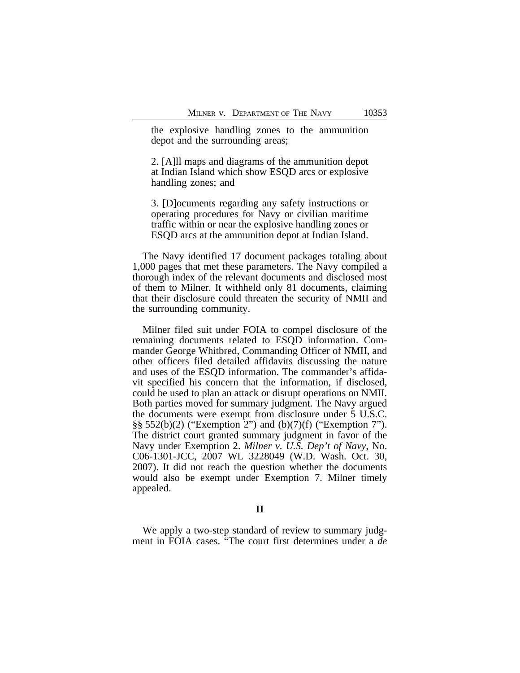the explosive handling zones to the ammunition depot and the surrounding areas;

2. [A]ll maps and diagrams of the ammunition depot at Indian Island which show ESQD arcs or explosive handling zones; and

3. [D]ocuments regarding any safety instructions or operating procedures for Navy or civilian maritime traffic within or near the explosive handling zones or ESQD arcs at the ammunition depot at Indian Island.

The Navy identified 17 document packages totaling about 1,000 pages that met these parameters. The Navy compiled a thorough index of the relevant documents and disclosed most of them to Milner. It withheld only 81 documents, claiming that their disclosure could threaten the security of NMII and the surrounding community.

Milner filed suit under FOIA to compel disclosure of the remaining documents related to ESQD information. Commander George Whitbred, Commanding Officer of NMII, and other officers filed detailed affidavits discussing the nature and uses of the ESQD information. The commander's affidavit specified his concern that the information, if disclosed, could be used to plan an attack or disrupt operations on NMII. Both parties moved for summary judgment. The Navy argued the documents were exempt from disclosure under 5 U.S.C. §§ 552(b)(2) ("Exemption 2") and (b)(7)(f) ("Exemption 7"). The district court granted summary judgment in favor of the Navy under Exemption 2. *Milner v. U.S. Dep't of Navy*, No. C06-1301-JCC, 2007 WL 3228049 (W.D. Wash. Oct. 30, 2007). It did not reach the question whether the documents would also be exempt under Exemption 7. Milner timely appealed.

# **II**

We apply a two-step standard of review to summary judgment in FOIA cases. "The court first determines under a *de*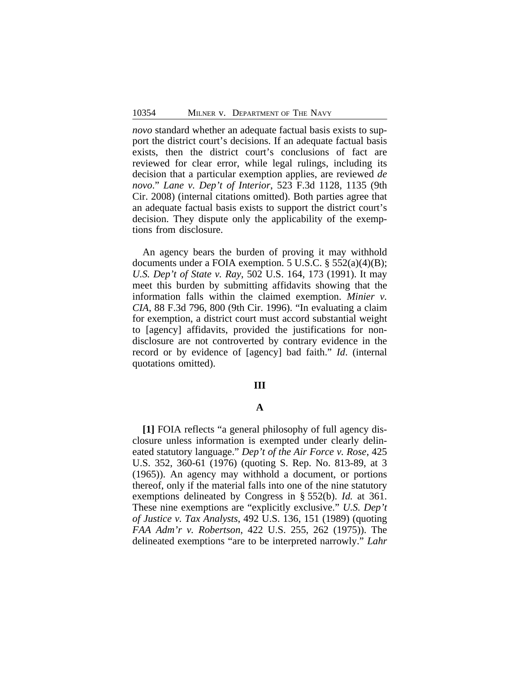*novo* standard whether an adequate factual basis exists to support the district court's decisions. If an adequate factual basis exists, then the district court's conclusions of fact are reviewed for clear error, while legal rulings, including its decision that a particular exemption applies, are reviewed *de novo*." *Lane v. Dep't of Interior*, 523 F.3d 1128, 1135 (9th Cir. 2008) (internal citations omitted). Both parties agree that an adequate factual basis exists to support the district court's decision. They dispute only the applicability of the exemptions from disclosure.

An agency bears the burden of proving it may withhold documents under a FOIA exemption. 5 U.S.C. § 552(a)(4)(B); *U.S. Dep't of State v. Ray*, 502 U.S. 164, 173 (1991). It may meet this burden by submitting affidavits showing that the information falls within the claimed exemption. *Minier v. CIA*, 88 F.3d 796, 800 (9th Cir. 1996). "In evaluating a claim for exemption, a district court must accord substantial weight to [agency] affidavits, provided the justifications for nondisclosure are not controverted by contrary evidence in the record or by evidence of [agency] bad faith." *Id*. (internal quotations omitted).

#### **III**

# **A**

**[1]** FOIA reflects "a general philosophy of full agency disclosure unless information is exempted under clearly delineated statutory language." *Dep't of the Air Force v. Rose*, 425 U.S. 352, 360-61 (1976) (quoting S. Rep. No. 813-89, at 3 (1965)). An agency may withhold a document, or portions thereof, only if the material falls into one of the nine statutory exemptions delineated by Congress in § 552(b). *Id.* at 361. These nine exemptions are "explicitly exclusive." *U.S. Dep't of Justice v. Tax Analysts*, 492 U.S. 136, 151 (1989) (quoting *FAA Adm'r v. Robertson*, 422 U.S. 255, 262 (1975)). The delineated exemptions "are to be interpreted narrowly." *Lahr*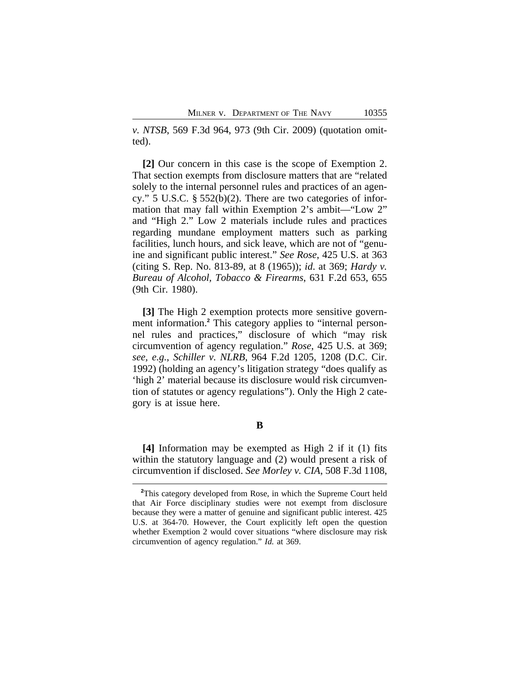*v. NTSB*, 569 F.3d 964, 973 (9th Cir. 2009) (quotation omitted).

**[2]** Our concern in this case is the scope of Exemption 2. That section exempts from disclosure matters that are "related solely to the internal personnel rules and practices of an agency." 5 U.S.C. § 552(b)(2). There are two categories of information that may fall within Exemption 2's ambit—"Low 2" and "High 2." Low 2 materials include rules and practices regarding mundane employment matters such as parking facilities, lunch hours, and sick leave, which are not of "genuine and significant public interest." *See Rose*, 425 U.S. at 363 (citing S. Rep. No. 813-89, at 8 (1965)); *id*. at 369; *Hardy v. Bureau of Alcohol, Tobacco & Firearms*, 631 F.2d 653, 655 (9th Cir. 1980).

**[3]** The High 2 exemption protects more sensitive government information.**<sup>2</sup>** This category applies to "internal personnel rules and practices," disclosure of which "may risk circumvention of agency regulation." *Rose*, 425 U.S. at 369; *see, e.g.*, *Schiller v. NLRB*, 964 F.2d 1205, 1208 (D.C. Cir. 1992) (holding an agency's litigation strategy "does qualify as 'high 2' material because its disclosure would risk circumvention of statutes or agency regulations"). Only the High 2 category is at issue here.

**B**

**[4]** Information may be exempted as High 2 if it (1) fits within the statutory language and  $(2)$  would present a risk of circumvention if disclosed. *See Morley v. CIA*, 508 F.3d 1108,

**<sup>2</sup>**This category developed from Rose, in which the Supreme Court held that Air Force disciplinary studies were not exempt from disclosure because they were a matter of genuine and significant public interest. 425 U.S. at 364-70. However, the Court explicitly left open the question whether Exemption 2 would cover situations "where disclosure may risk circumvention of agency regulation." *Id.* at 369.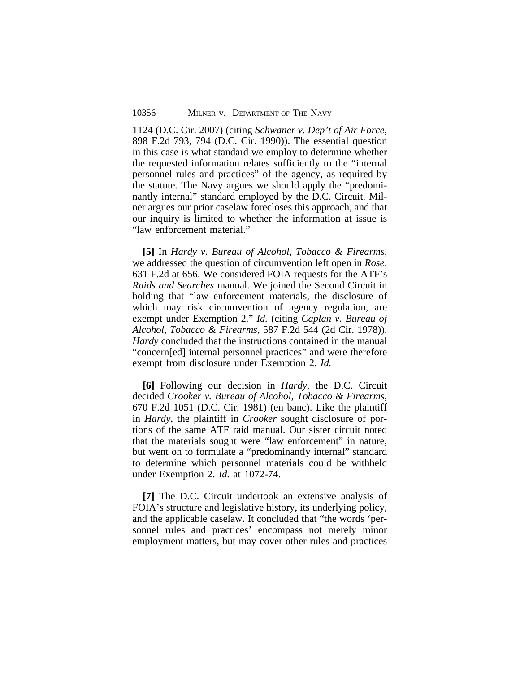1124 (D.C. Cir. 2007) (citing *Schwaner v. Dep't of Air Force*, 898 F.2d 793, 794 (D.C. Cir. 1990)). The essential question in this case is what standard we employ to determine whether the requested information relates sufficiently to the "internal personnel rules and practices" of the agency, as required by the statute. The Navy argues we should apply the "predominantly internal" standard employed by the D.C. Circuit. Milner argues our prior caselaw forecloses this approach, and that our inquiry is limited to whether the information at issue is "law enforcement material."

**[5]** In *Hardy v. Bureau of Alcohol, Tobacco & Firearms*, we addressed the question of circumvention left open in *Rose*. 631 F.2d at 656. We considered FOIA requests for the ATF's *Raids and Searches* manual. We joined the Second Circuit in holding that "law enforcement materials, the disclosure of which may risk circumvention of agency regulation, are exempt under Exemption 2." *Id.* (citing *Caplan v. Bureau of Alcohol, Tobacco & Firearms*, 587 F.2d 544 (2d Cir. 1978)). *Hardy* concluded that the instructions contained in the manual "concern[ed] internal personnel practices" and were therefore exempt from disclosure under Exemption 2. *Id.*

**[6]** Following our decision in *Hardy*, the D.C. Circuit decided *Crooker v. Bureau of Alcohol, Tobacco & Firearms*, 670 F.2d 1051 (D.C. Cir. 1981) (en banc). Like the plaintiff in *Hardy*, the plaintiff in *Crooker* sought disclosure of portions of the same ATF raid manual. Our sister circuit noted that the materials sought were "law enforcement" in nature, but went on to formulate a "predominantly internal" standard to determine which personnel materials could be withheld under Exemption 2. *Id.* at 1072-74.

**[7]** The D.C. Circuit undertook an extensive analysis of FOIA's structure and legislative history, its underlying policy, and the applicable caselaw. It concluded that "the words 'personnel rules and practices' encompass not merely minor employment matters, but may cover other rules and practices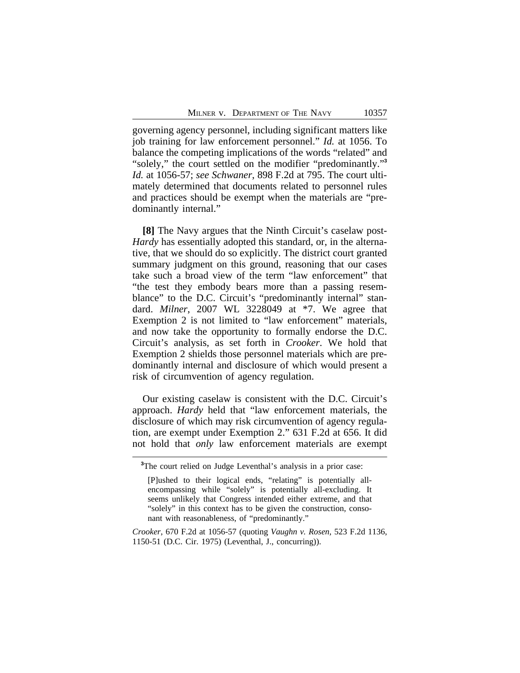governing agency personnel, including significant matters like job training for law enforcement personnel." *Id.* at 1056. To balance the competing implications of the words "related" and "solely," the court settled on the modifier "predominantly."<sup>3</sup> *Id.* at 1056-57; *see Schwaner*, 898 F.2d at 795. The court ultimately determined that documents related to personnel rules and practices should be exempt when the materials are "predominantly internal."

**[8]** The Navy argues that the Ninth Circuit's caselaw post-*Hardy* has essentially adopted this standard, or, in the alternative, that we should do so explicitly. The district court granted summary judgment on this ground, reasoning that our cases take such a broad view of the term "law enforcement" that "the test they embody bears more than a passing resemblance" to the D.C. Circuit's "predominantly internal" standard. *Milner*, 2007 WL 3228049 at \*7. We agree that Exemption 2 is not limited to "law enforcement" materials, and now take the opportunity to formally endorse the D.C. Circuit's analysis, as set forth in *Crooker*. We hold that Exemption 2 shields those personnel materials which are predominantly internal and disclosure of which would present a risk of circumvention of agency regulation.

Our existing caselaw is consistent with the D.C. Circuit's approach. *Hardy* held that "law enforcement materials, the disclosure of which may risk circumvention of agency regulation, are exempt under Exemption 2." 631 F.2d at 656. It did not hold that *only* law enforcement materials are exempt

**<sup>3</sup>**The court relied on Judge Leventhal's analysis in a prior case:

<sup>[</sup>P]ushed to their logical ends, "relating" is potentially allencompassing while "solely" is potentially all-excluding. It seems unlikely that Congress intended either extreme, and that "solely" in this context has to be given the construction, consonant with reasonableness, of "predominantly."

*Crooker*, 670 F.2d at 1056-57 (quoting *Vaughn v. Rosen*, 523 F.2d 1136, 1150-51 (D.C. Cir. 1975) (Leventhal, J., concurring)).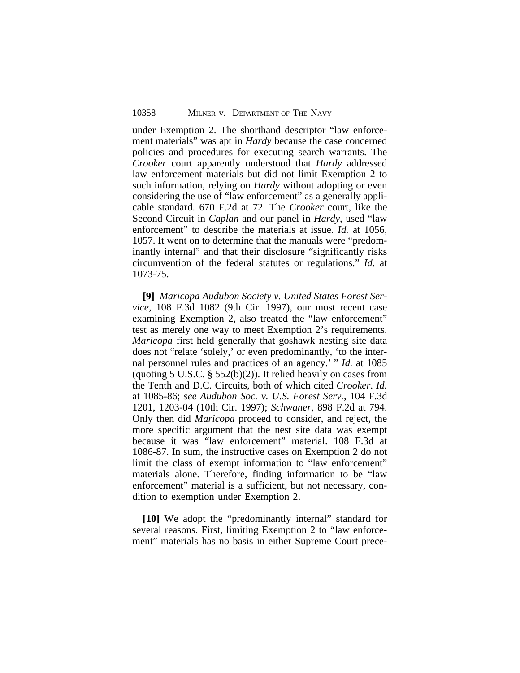under Exemption 2. The shorthand descriptor "law enforcement materials" was apt in *Hardy* because the case concerned policies and procedures for executing search warrants. The *Crooker* court apparently understood that *Hardy* addressed law enforcement materials but did not limit Exemption 2 to such information, relying on *Hardy* without adopting or even considering the use of "law enforcement" as a generally applicable standard. 670 F.2d at 72. The *Crooker* court, like the Second Circuit in *Caplan* and our panel in *Hardy*, used "law enforcement" to describe the materials at issue. *Id.* at 1056, 1057. It went on to determine that the manuals were "predominantly internal" and that their disclosure "significantly risks circumvention of the federal statutes or regulations." *Id.* at 1073-75.

**[9]** *Maricopa Audubon Society v. United States Forest Service*, 108 F.3d 1082 (9th Cir. 1997), our most recent case examining Exemption 2, also treated the "law enforcement" test as merely one way to meet Exemption 2's requirements. *Maricopa* first held generally that goshawk nesting site data does not "relate 'solely,' or even predominantly, 'to the internal personnel rules and practices of an agency.' " *Id.* at 1085 (quoting 5 U.S.C.  $\S$  552(b)(2)). It relied heavily on cases from the Tenth and D.C. Circuits, both of which cited *Crooker*. *Id.* at 1085-86; *see Audubon Soc. v. U.S. Forest Serv.*, 104 F.3d 1201, 1203-04 (10th Cir. 1997); *Schwaner*, 898 F.2d at 794. Only then did *Maricopa* proceed to consider, and reject, the more specific argument that the nest site data was exempt because it was "law enforcement" material. 108 F.3d at 1086-87. In sum, the instructive cases on Exemption 2 do not limit the class of exempt information to "law enforcement" materials alone. Therefore, finding information to be "law enforcement" material is a sufficient, but not necessary, condition to exemption under Exemption 2.

**[10]** We adopt the "predominantly internal" standard for several reasons. First, limiting Exemption 2 to "law enforcement" materials has no basis in either Supreme Court prece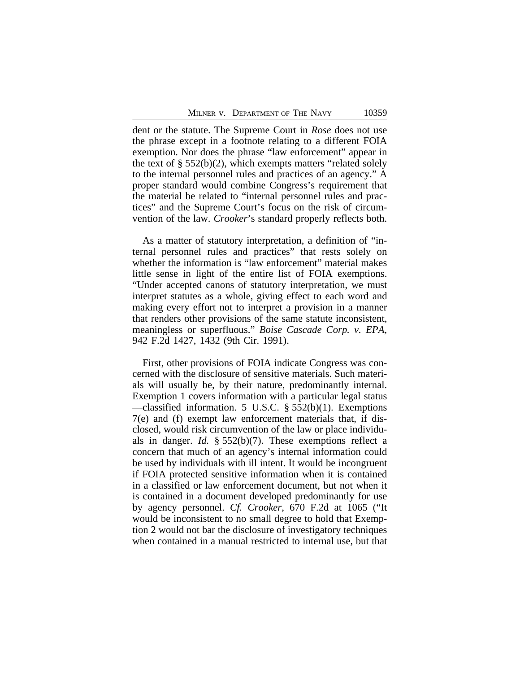dent or the statute. The Supreme Court in *Rose* does not use the phrase except in a footnote relating to a different FOIA exemption. Nor does the phrase "law enforcement" appear in the text of  $\S 552(b)(2)$ , which exempts matters "related solely to the internal personnel rules and practices of an agency." A proper standard would combine Congress's requirement that the material be related to "internal personnel rules and practices" and the Supreme Court's focus on the risk of circumvention of the law. *Crooker*'s standard properly reflects both.

As a matter of statutory interpretation, a definition of "internal personnel rules and practices" that rests solely on whether the information is "law enforcement" material makes little sense in light of the entire list of FOIA exemptions. "Under accepted canons of statutory interpretation, we must interpret statutes as a whole, giving effect to each word and making every effort not to interpret a provision in a manner that renders other provisions of the same statute inconsistent, meaningless or superfluous." *Boise Cascade Corp. v. EPA*, 942 F.2d 1427, 1432 (9th Cir. 1991).

First, other provisions of FOIA indicate Congress was concerned with the disclosure of sensitive materials. Such materials will usually be, by their nature, predominantly internal. Exemption 1 covers information with a particular legal status —classified information. 5 U.S.C. § 552(b)(1). Exemptions 7(e) and (f) exempt law enforcement materials that, if disclosed, would risk circumvention of the law or place individuals in danger. *Id.* § 552(b)(7). These exemptions reflect a concern that much of an agency's internal information could be used by individuals with ill intent. It would be incongruent if FOIA protected sensitive information when it is contained in a classified or law enforcement document, but not when it is contained in a document developed predominantly for use by agency personnel. *Cf. Crooker*, 670 F.2d at 1065 ("It would be inconsistent to no small degree to hold that Exemption 2 would not bar the disclosure of investigatory techniques when contained in a manual restricted to internal use, but that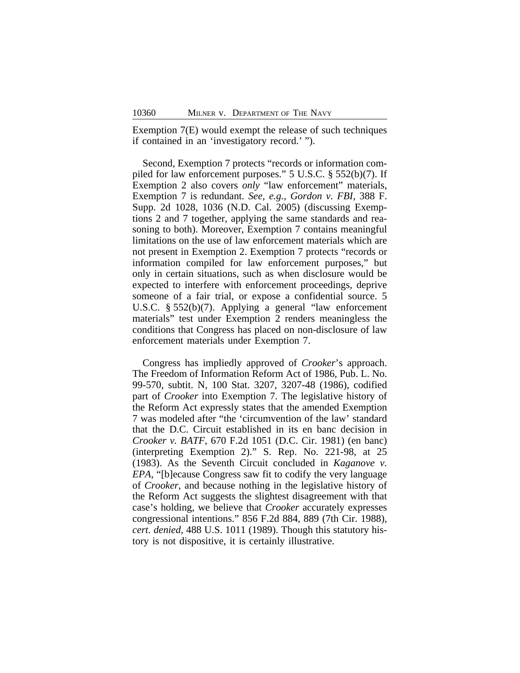Exemption 7(E) would exempt the release of such techniques if contained in an 'investigatory record.' ").

Second, Exemption 7 protects "records or information compiled for law enforcement purposes." 5 U.S.C. § 552(b)(7). If Exemption 2 also covers *only* "law enforcement" materials, Exemption 7 is redundant. *See, e.g.*, *Gordon v. FBI*, 388 F. Supp. 2d 1028, 1036 (N.D. Cal. 2005) (discussing Exemptions 2 and 7 together, applying the same standards and reasoning to both). Moreover, Exemption 7 contains meaningful limitations on the use of law enforcement materials which are not present in Exemption 2. Exemption 7 protects "records or information compiled for law enforcement purposes," but only in certain situations, such as when disclosure would be expected to interfere with enforcement proceedings, deprive someone of a fair trial, or expose a confidential source. 5 U.S.C. § 552(b)(7). Applying a general "law enforcement materials" test under Exemption 2 renders meaningless the conditions that Congress has placed on non-disclosure of law enforcement materials under Exemption 7.

Congress has impliedly approved of *Crooker*'s approach. The Freedom of Information Reform Act of 1986, Pub. L. No. 99-570, subtit. N, 100 Stat. 3207, 3207-48 (1986), codified part of *Crooker* into Exemption 7. The legislative history of the Reform Act expressly states that the amended Exemption 7 was modeled after "the 'circumvention of the law' standard that the D.C. Circuit established in its en banc decision in *Crooker v. BATF*, 670 F.2d 1051 (D.C. Cir. 1981) (en banc) (interpreting Exemption 2)." S. Rep. No. 221-98, at 25 (1983). As the Seventh Circuit concluded in *Kaganove v. EPA*, "[b]ecause Congress saw fit to codify the very language of *Crooker*, and because nothing in the legislative history of the Reform Act suggests the slightest disagreement with that case's holding, we believe that *Crooker* accurately expresses congressional intentions." 856 F.2d 884, 889 (7th Cir. 1988)*, cert. denied*, 488 U.S. 1011 (1989). Though this statutory history is not dispositive, it is certainly illustrative.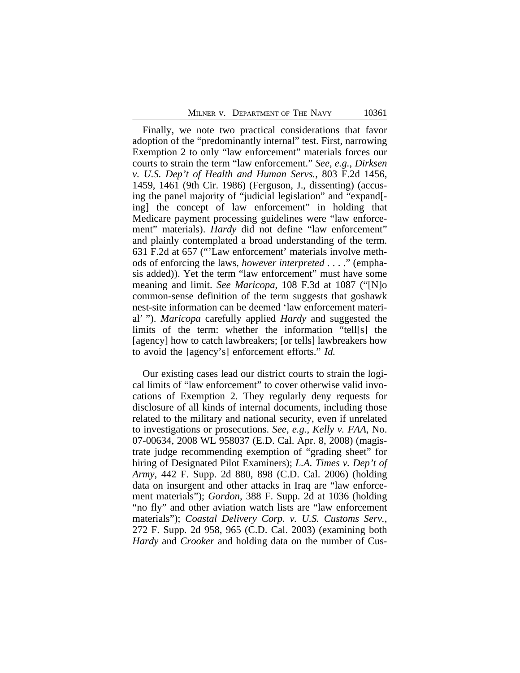Finally, we note two practical considerations that favor adoption of the "predominantly internal" test. First, narrowing Exemption 2 to only "law enforcement" materials forces our courts to strain the term "law enforcement." *See, e.g.*, *Dirksen v. U.S. Dep't of Health and Human Servs.*, 803 F.2d 1456, 1459, 1461 (9th Cir. 1986) (Ferguson, J., dissenting) (accusing the panel majority of "judicial legislation" and "expand[ ing] the concept of law enforcement" in holding that Medicare payment processing guidelines were "law enforcement" materials). *Hardy* did not define "law enforcement" and plainly contemplated a broad understanding of the term. 631 F.2d at 657 ("'Law enforcement' materials involve methods of enforcing the laws, *however interpreted* . . . ." (emphasis added)). Yet the term "law enforcement" must have some meaning and limit. *See Maricopa*, 108 F.3d at 1087 ("[N]o common-sense definition of the term suggests that goshawk nest-site information can be deemed 'law enforcement material' "). *Maricopa* carefully applied *Hardy* and suggested the limits of the term: whether the information "tell[s] the [agency] how to catch lawbreakers; [or tells] lawbreakers how to avoid the [agency's] enforcement efforts." *Id.* 

Our existing cases lead our district courts to strain the logical limits of "law enforcement" to cover otherwise valid invocations of Exemption 2. They regularly deny requests for disclosure of all kinds of internal documents, including those related to the military and national security, even if unrelated to investigations or prosecutions. *See, e.g.*, *Kelly v. FAA*, No. 07-00634, 2008 WL 958037 (E.D. Cal. Apr. 8, 2008) (magistrate judge recommending exemption of "grading sheet" for hiring of Designated Pilot Examiners); *L.A. Times v. Dep't of Army*, 442 F. Supp. 2d 880, 898 (C.D. Cal. 2006) (holding data on insurgent and other attacks in Iraq are "law enforcement materials"); *Gordon*, 388 F. Supp. 2d at 1036 (holding "no fly" and other aviation watch lists are "law enforcement materials"); *Coastal Delivery Corp. v. U.S. Customs Serv.*, 272 F. Supp. 2d 958, 965 (C.D. Cal. 2003) (examining both *Hardy* and *Crooker* and holding data on the number of Cus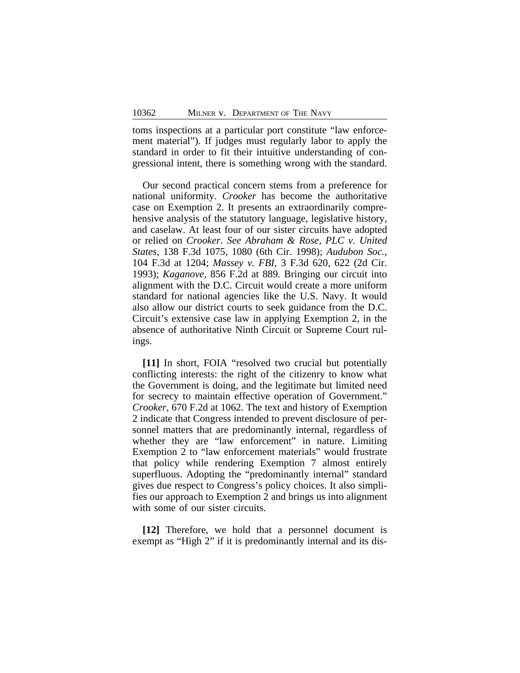toms inspections at a particular port constitute "law enforcement material"). If judges must regularly labor to apply the standard in order to fit their intuitive understanding of congressional intent, there is something wrong with the standard.

Our second practical concern stems from a preference for national uniformity. *Crooker* has become the authoritative case on Exemption 2. It presents an extraordinarily comprehensive analysis of the statutory language, legislative history, and caselaw. At least four of our sister circuits have adopted or relied on *Crooker*. *See Abraham & Rose, PLC v. United States*, 138 F.3d 1075, 1080 (6th Cir. 1998); *Audubon Soc.*, 104 F.3d at 1204; *Massey v. FBI*, 3 F.3d 620, 622 (2d Cir. 1993); *Kaganove*, 856 F.2d at 889*.* Bringing our circuit into alignment with the D.C. Circuit would create a more uniform standard for national agencies like the U.S. Navy. It would also allow our district courts to seek guidance from the D.C. Circuit's extensive case law in applying Exemption 2, in the absence of authoritative Ninth Circuit or Supreme Court rulings.

**[11]** In short, FOIA "resolved two crucial but potentially conflicting interests: the right of the citizenry to know what the Government is doing, and the legitimate but limited need for secrecy to maintain effective operation of Government." *Crooker*, 670 F.2d at 1062. The text and history of Exemption 2 indicate that Congress intended to prevent disclosure of personnel matters that are predominantly internal, regardless of whether they are "law enforcement" in nature. Limiting Exemption 2 to "law enforcement materials" would frustrate that policy while rendering Exemption 7 almost entirely superfluous. Adopting the "predominantly internal" standard gives due respect to Congress's policy choices. It also simplifies our approach to Exemption 2 and brings us into alignment with some of our sister circuits.

**[12]** Therefore, we hold that a personnel document is exempt as "High 2" if it is predominantly internal and its dis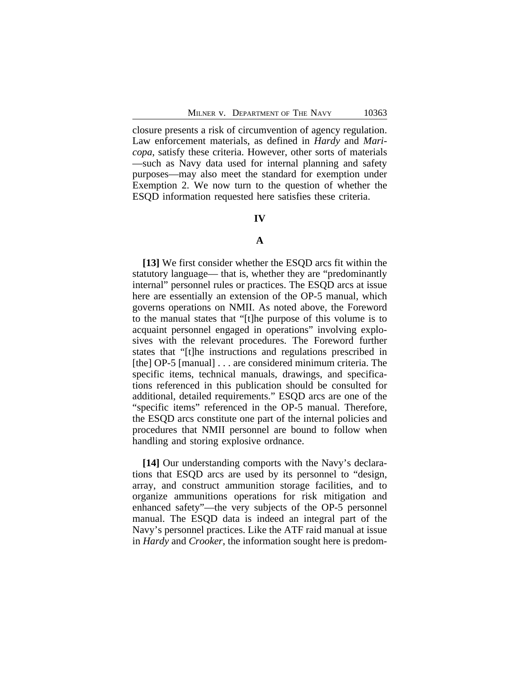closure presents a risk of circumvention of agency regulation. Law enforcement materials, as defined in *Hardy* and *Maricopa*, satisfy these criteria. However, other sorts of materials —such as Navy data used for internal planning and safety purposes—may also meet the standard for exemption under Exemption 2. We now turn to the question of whether the ESQD information requested here satisfies these criteria.

#### **IV**

# **A**

**[13]** We first consider whether the ESQD arcs fit within the statutory language— that is, whether they are "predominantly internal" personnel rules or practices. The ESQD arcs at issue here are essentially an extension of the OP-5 manual, which governs operations on NMII. As noted above, the Foreword to the manual states that "[t]he purpose of this volume is to acquaint personnel engaged in operations" involving explosives with the relevant procedures. The Foreword further states that "[t]he instructions and regulations prescribed in [the] OP-5 [manual] . . . are considered minimum criteria. The specific items, technical manuals, drawings, and specifications referenced in this publication should be consulted for additional, detailed requirements." ESQD arcs are one of the "specific items" referenced in the OP-5 manual. Therefore, the ESQD arcs constitute one part of the internal policies and procedures that NMII personnel are bound to follow when handling and storing explosive ordnance.

**[14]** Our understanding comports with the Navy's declarations that ESQD arcs are used by its personnel to "design, array, and construct ammunition storage facilities, and to organize ammunitions operations for risk mitigation and enhanced safety"—the very subjects of the OP-5 personnel manual. The ESQD data is indeed an integral part of the Navy's personnel practices. Like the ATF raid manual at issue in *Hardy* and *Crooker*, the information sought here is predom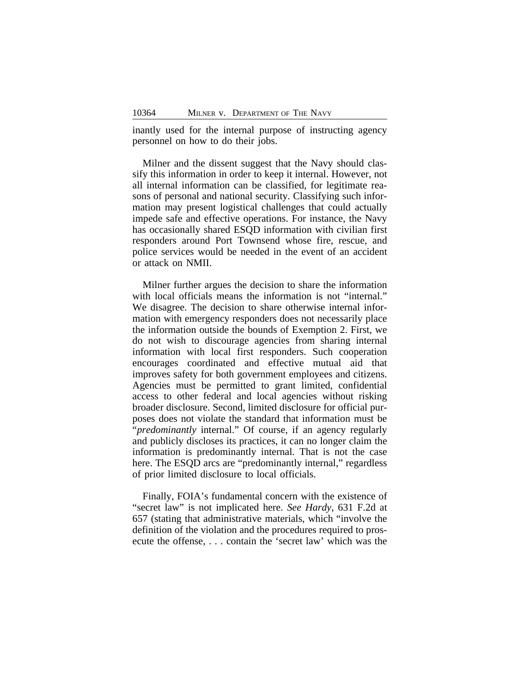inantly used for the internal purpose of instructing agency personnel on how to do their jobs.

Milner and the dissent suggest that the Navy should classify this information in order to keep it internal. However, not all internal information can be classified, for legitimate reasons of personal and national security. Classifying such information may present logistical challenges that could actually impede safe and effective operations. For instance, the Navy has occasionally shared ESQD information with civilian first responders around Port Townsend whose fire, rescue, and police services would be needed in the event of an accident or attack on NMII.

Milner further argues the decision to share the information with local officials means the information is not "internal." We disagree. The decision to share otherwise internal information with emergency responders does not necessarily place the information outside the bounds of Exemption 2. First, we do not wish to discourage agencies from sharing internal information with local first responders. Such cooperation encourages coordinated and effective mutual aid that improves safety for both government employees and citizens. Agencies must be permitted to grant limited, confidential access to other federal and local agencies without risking broader disclosure. Second, limited disclosure for official purposes does not violate the standard that information must be "*predominantly* internal." Of course, if an agency regularly and publicly discloses its practices, it can no longer claim the information is predominantly internal. That is not the case here. The ESQD arcs are "predominantly internal," regardless of prior limited disclosure to local officials.

Finally, FOIA's fundamental concern with the existence of "secret law" is not implicated here. *See Hardy*, 631 F.2d at 657 (stating that administrative materials, which "involve the definition of the violation and the procedures required to prosecute the offense, . . . contain the 'secret law' which was the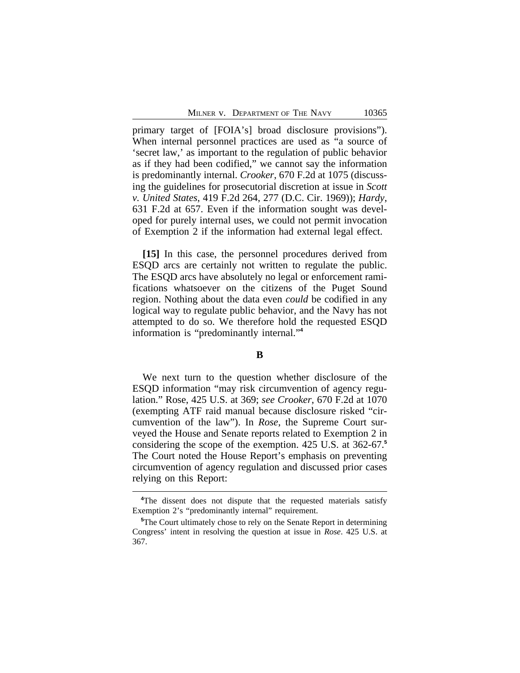primary target of [FOIA's] broad disclosure provisions"). When internal personnel practices are used as "a source of 'secret law,' as important to the regulation of public behavior as if they had been codified," we cannot say the information is predominantly internal. *Crooker*, 670 F.2d at 1075 (discussing the guidelines for prosecutorial discretion at issue in *Scott v. United States*, 419 F.2d 264, 277 (D.C. Cir. 1969)); *Hardy*, 631 F.2d at 657. Even if the information sought was developed for purely internal uses, we could not permit invocation of Exemption 2 if the information had external legal effect.

**[15]** In this case, the personnel procedures derived from ESQD arcs are certainly not written to regulate the public. The ESQD arcs have absolutely no legal or enforcement ramifications whatsoever on the citizens of the Puget Sound region. Nothing about the data even *could* be codified in any logical way to regulate public behavior, and the Navy has not attempted to do so. We therefore hold the requested ESQD information is "predominantly internal." **4**

# **B**

We next turn to the question whether disclosure of the ESQD information "may risk circumvention of agency regulation." Rose, 425 U.S. at 369; *see Crooker*, 670 F.2d at 1070 (exempting ATF raid manual because disclosure risked "circumvention of the law"). In *Rose*, the Supreme Court surveyed the House and Senate reports related to Exemption 2 in considering the scope of the exemption. 425 U.S. at 362-67.**<sup>5</sup>** The Court noted the House Report's emphasis on preventing circumvention of agency regulation and discussed prior cases relying on this Report:

<sup>&</sup>lt;sup>4</sup>The dissent does not dispute that the requested materials satisfy Exemption 2's "predominantly internal" requirement.

**<sup>5</sup>**The Court ultimately chose to rely on the Senate Report in determining Congress' intent in resolving the question at issue in *Rose*. 425 U.S. at 367.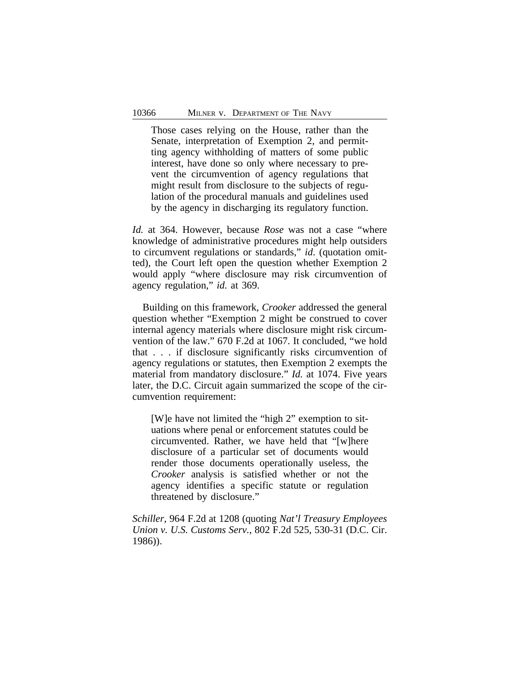Those cases relying on the House, rather than the Senate, interpretation of Exemption 2, and permitting agency withholding of matters of some public interest, have done so only where necessary to prevent the circumvention of agency regulations that might result from disclosure to the subjects of regulation of the procedural manuals and guidelines used by the agency in discharging its regulatory function.

*Id.* at 364. However, because *Rose* was not a case "where knowledge of administrative procedures might help outsiders to circumvent regulations or standards," *id*. (quotation omitted), the Court left open the question whether Exemption 2 would apply "where disclosure may risk circumvention of agency regulation," *id.* at 369.

Building on this framework, *Crooker* addressed the general question whether "Exemption 2 might be construed to cover internal agency materials where disclosure might risk circumvention of the law." 670 F.2d at 1067. It concluded, "we hold that . . . if disclosure significantly risks circumvention of agency regulations or statutes, then Exemption 2 exempts the material from mandatory disclosure." *Id.* at 1074. Five years later, the D.C. Circuit again summarized the scope of the circumvention requirement:

[W]e have not limited the "high 2" exemption to situations where penal or enforcement statutes could be circumvented. Rather, we have held that "[w]here disclosure of a particular set of documents would render those documents operationally useless, the *Crooker* analysis is satisfied whether or not the agency identifies a specific statute or regulation threatened by disclosure."

*Schiller*, 964 F.2d at 1208 (quoting *Nat'l Treasury Employees Union v. U.S. Customs Serv.*, 802 F.2d 525, 530-31 (D.C. Cir. 1986)).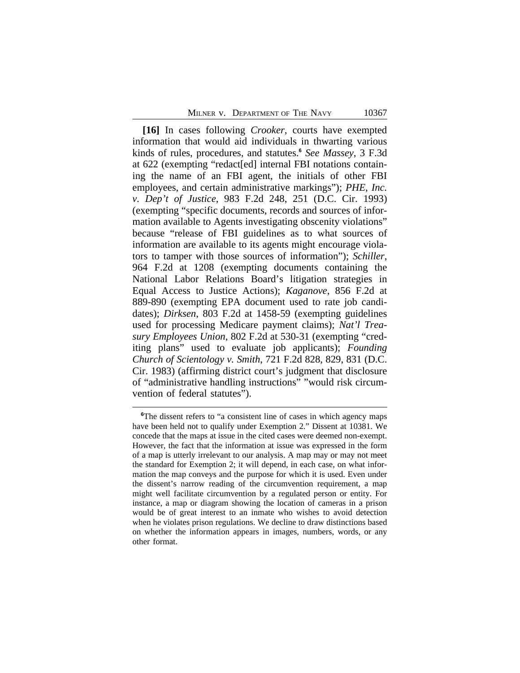**[16]** In cases following *Crooker*, courts have exempted information that would aid individuals in thwarting various kinds of rules, procedures, and statutes.**<sup>6</sup>** *See Massey*, 3 F.3d at 622 (exempting "redact[ed] internal FBI notations containing the name of an FBI agent, the initials of other FBI employees, and certain administrative markings"); *PHE, Inc. v. Dep't of Justice*, 983 F.2d 248, 251 (D.C. Cir. 1993) (exempting "specific documents, records and sources of information available to Agents investigating obscenity violations" because "release of FBI guidelines as to what sources of information are available to its agents might encourage violators to tamper with those sources of information"); *Schiller*, 964 F.2d at 1208 (exempting documents containing the National Labor Relations Board's litigation strategies in Equal Access to Justice Actions); *Kaganove*, 856 F.2d at 889-890 (exempting EPA document used to rate job candidates); *Dirksen*, 803 F.2d at 1458-59 (exempting guidelines used for processing Medicare payment claims); *Nat'l Treasury Employees Union*, 802 F.2d at 530-31 (exempting "crediting plans" used to evaluate job applicants); *Founding Church of Scientology v. Smith*, 721 F.2d 828, 829, 831 (D.C. Cir. 1983) (affirming district court's judgment that disclosure of "administrative handling instructions" "would risk circumvention of federal statutes").

**<sup>6</sup>**The dissent refers to "a consistent line of cases in which agency maps have been held not to qualify under Exemption 2." Dissent at 10381. We concede that the maps at issue in the cited cases were deemed non-exempt. However, the fact that the information at issue was expressed in the form of a map is utterly irrelevant to our analysis. A map may or may not meet the standard for Exemption 2; it will depend, in each case, on what information the map conveys and the purpose for which it is used. Even under the dissent's narrow reading of the circumvention requirement, a map might well facilitate circumvention by a regulated person or entity. For instance, a map or diagram showing the location of cameras in a prison would be of great interest to an inmate who wishes to avoid detection when he violates prison regulations. We decline to draw distinctions based on whether the information appears in images, numbers, words, or any other format.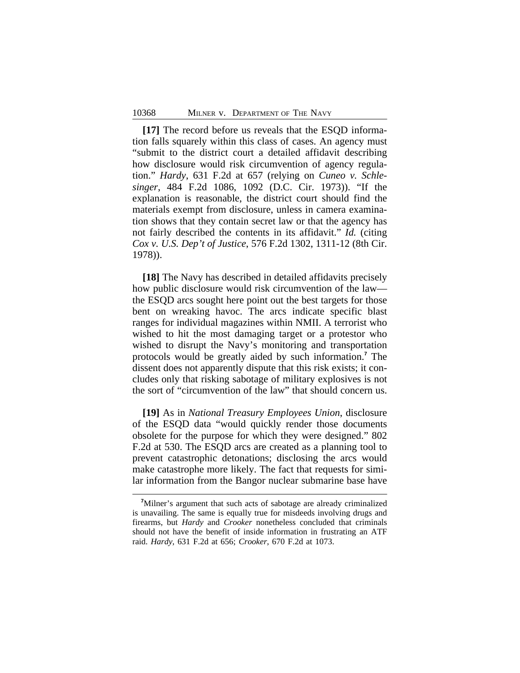**[17]** The record before us reveals that the ESQD information falls squarely within this class of cases. An agency must "submit to the district court a detailed affidavit describing how disclosure would risk circumvention of agency regulation." *Hardy*, 631 F.2d at 657 (relying on *Cuneo v. Schlesinger*, 484 F.2d 1086, 1092 (D.C. Cir. 1973)). "If the explanation is reasonable, the district court should find the materials exempt from disclosure, unless in camera examination shows that they contain secret law or that the agency has not fairly described the contents in its affidavit." *Id.* (citing *Cox v. U.S. Dep't of Justice*, 576 F.2d 1302, 1311-12 (8th Cir. 1978)).

**[18]** The Navy has described in detailed affidavits precisely how public disclosure would risk circumvention of the law the ESQD arcs sought here point out the best targets for those bent on wreaking havoc. The arcs indicate specific blast ranges for individual magazines within NMII. A terrorist who wished to hit the most damaging target or a protestor who wished to disrupt the Navy's monitoring and transportation protocols would be greatly aided by such information.**<sup>7</sup>** The dissent does not apparently dispute that this risk exists; it concludes only that risking sabotage of military explosives is not the sort of "circumvention of the law" that should concern us.

**[19]** As in *National Treasury Employees Union*, disclosure of the ESQD data "would quickly render those documents obsolete for the purpose for which they were designed." 802 F.2d at 530. The ESQD arcs are created as a planning tool to prevent catastrophic detonations; disclosing the arcs would make catastrophe more likely. The fact that requests for similar information from the Bangor nuclear submarine base have

**<sup>7</sup>**Milner's argument that such acts of sabotage are already criminalized is unavailing. The same is equally true for misdeeds involving drugs and firearms, but *Hardy* and *Crooker* nonetheless concluded that criminals should not have the benefit of inside information in frustrating an ATF raid. *Hardy*, 631 F.2d at 656; *Crooker*, 670 F.2d at 1073.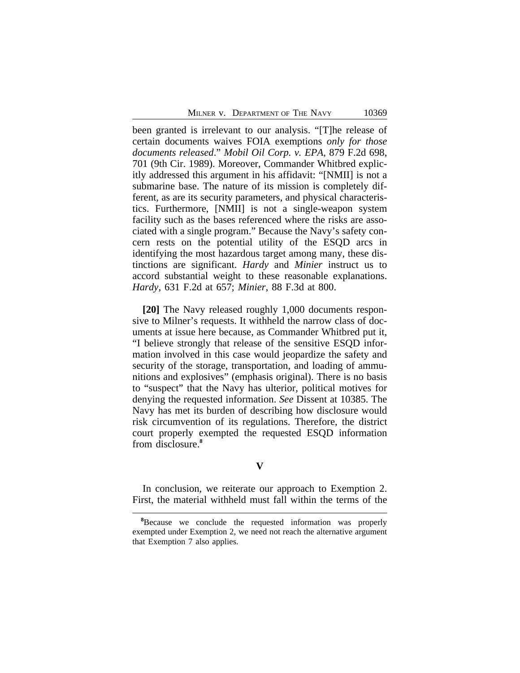been granted is irrelevant to our analysis. "[T]he release of certain documents waives FOIA exemptions *only for those documents released*." *Mobil Oil Corp. v. EPA*, 879 F.2d 698, 701 (9th Cir. 1989). Moreover, Commander Whitbred explicitly addressed this argument in his affidavit: "[NMII] is not a submarine base. The nature of its mission is completely different, as are its security parameters, and physical characteristics. Furthermore, [NMII] is not a single-weapon system facility such as the bases referenced where the risks are associated with a single program." Because the Navy's safety concern rests on the potential utility of the ESQD arcs in identifying the most hazardous target among many, these distinctions are significant. *Hardy* and *Minier* instruct us to accord substantial weight to these reasonable explanations. *Hardy*, 631 F.2d at 657; *Minier*, 88 F.3d at 800.

**[20]** The Navy released roughly 1,000 documents responsive to Milner's requests. It withheld the narrow class of documents at issue here because, as Commander Whitbred put it, "I believe strongly that release of the sensitive ESQD information involved in this case would jeopardize the safety and security of the storage, transportation, and loading of ammunitions and explosives" (emphasis original). There is no basis to "suspect" that the Navy has ulterior, political motives for denying the requested information. *See* Dissent at 10385. The Navy has met its burden of describing how disclosure would risk circumvention of its regulations. Therefore, the district court properly exempted the requested ESQD information from disclosure.**<sup>8</sup>**

**V**

In conclusion, we reiterate our approach to Exemption 2. First, the material withheld must fall within the terms of the

**<sup>8</sup>**Because we conclude the requested information was properly exempted under Exemption 2, we need not reach the alternative argument that Exemption 7 also applies.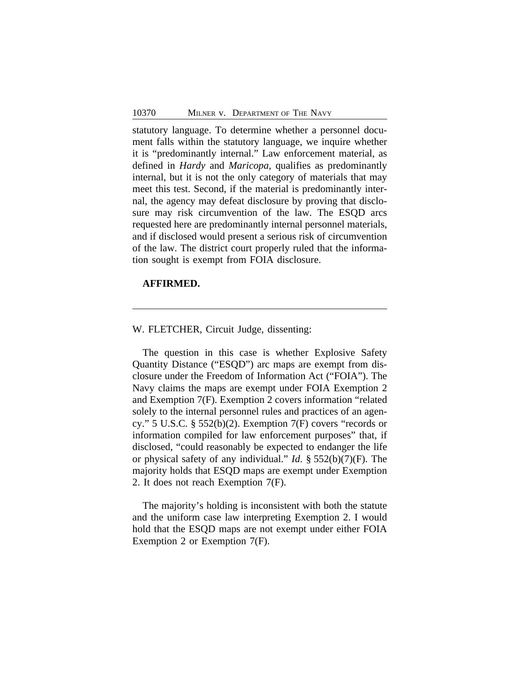statutory language. To determine whether a personnel document falls within the statutory language, we inquire whether it is "predominantly internal." Law enforcement material, as defined in *Hardy* and *Maricopa*, qualifies as predominantly internal, but it is not the only category of materials that may meet this test. Second, if the material is predominantly internal, the agency may defeat disclosure by proving that disclosure may risk circumvention of the law. The ESQD arcs requested here are predominantly internal personnel materials, and if disclosed would present a serious risk of circumvention of the law. The district court properly ruled that the information sought is exempt from FOIA disclosure.

# **AFFIRMED.**

#### W. FLETCHER, Circuit Judge, dissenting:

The question in this case is whether Explosive Safety Quantity Distance ("ESQD") arc maps are exempt from disclosure under the Freedom of Information Act ("FOIA"). The Navy claims the maps are exempt under FOIA Exemption 2 and Exemption 7(F). Exemption 2 covers information "related solely to the internal personnel rules and practices of an agency." 5 U.S.C. § 552(b)(2). Exemption 7(F) covers "records or information compiled for law enforcement purposes" that, if disclosed, "could reasonably be expected to endanger the life or physical safety of any individual." *Id*. § 552(b)(7)(F). The majority holds that ESQD maps are exempt under Exemption 2. It does not reach Exemption 7(F).

The majority's holding is inconsistent with both the statute and the uniform case law interpreting Exemption 2. I would hold that the ESQD maps are not exempt under either FOIA Exemption 2 or Exemption 7(F).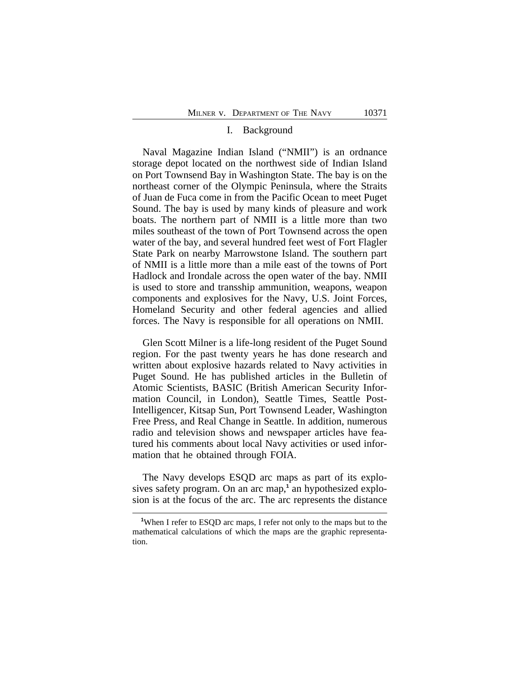#### I. Background

Naval Magazine Indian Island ("NMII") is an ordnance storage depot located on the northwest side of Indian Island on Port Townsend Bay in Washington State. The bay is on the northeast corner of the Olympic Peninsula, where the Straits of Juan de Fuca come in from the Pacific Ocean to meet Puget Sound. The bay is used by many kinds of pleasure and work boats. The northern part of NMII is a little more than two miles southeast of the town of Port Townsend across the open water of the bay, and several hundred feet west of Fort Flagler State Park on nearby Marrowstone Island. The southern part of NMII is a little more than a mile east of the towns of Port Hadlock and Irondale across the open water of the bay. NMII is used to store and transship ammunition, weapons, weapon components and explosives for the Navy, U.S. Joint Forces, Homeland Security and other federal agencies and allied forces. The Navy is responsible for all operations on NMII.

Glen Scott Milner is a life-long resident of the Puget Sound region. For the past twenty years he has done research and written about explosive hazards related to Navy activities in Puget Sound. He has published articles in the Bulletin of Atomic Scientists, BASIC (British American Security Information Council, in London), Seattle Times, Seattle Post-Intelligencer, Kitsap Sun, Port Townsend Leader, Washington Free Press, and Real Change in Seattle. In addition, numerous radio and television shows and newspaper articles have featured his comments about local Navy activities or used information that he obtained through FOIA.

The Navy develops ESQD arc maps as part of its explosives safety program. On an arc map,<sup>1</sup> an hypothesized explosion is at the focus of the arc. The arc represents the distance

**<sup>1</sup>**When I refer to ESQD arc maps, I refer not only to the maps but to the mathematical calculations of which the maps are the graphic representation.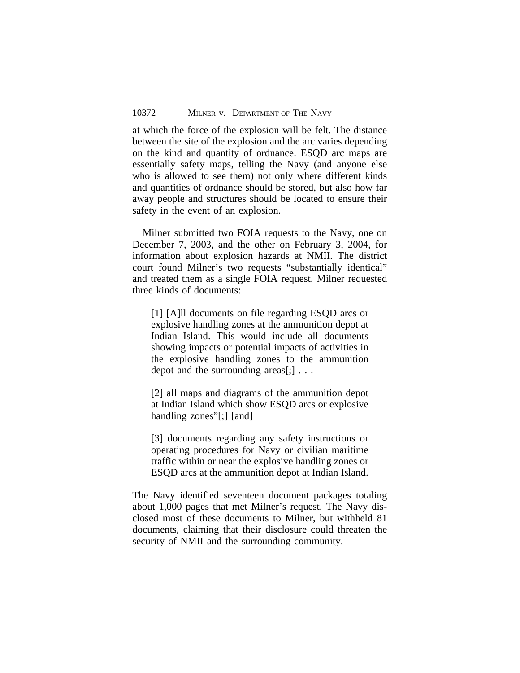at which the force of the explosion will be felt. The distance between the site of the explosion and the arc varies depending on the kind and quantity of ordnance. ESQD arc maps are essentially safety maps, telling the Navy (and anyone else who is allowed to see them) not only where different kinds and quantities of ordnance should be stored, but also how far away people and structures should be located to ensure their safety in the event of an explosion.

Milner submitted two FOIA requests to the Navy, one on December 7, 2003, and the other on February 3, 2004, for information about explosion hazards at NMII. The district court found Milner's two requests "substantially identical" and treated them as a single FOIA request. Milner requested three kinds of documents:

[1] [A]ll documents on file regarding ESQD arcs or explosive handling zones at the ammunition depot at Indian Island. This would include all documents showing impacts or potential impacts of activities in the explosive handling zones to the ammunition depot and the surrounding areas[:]...

[2] all maps and diagrams of the ammunition depot at Indian Island which show ESQD arcs or explosive handling zones"[;] [and]

[3] documents regarding any safety instructions or operating procedures for Navy or civilian maritime traffic within or near the explosive handling zones or ESQD arcs at the ammunition depot at Indian Island.

The Navy identified seventeen document packages totaling about 1,000 pages that met Milner's request. The Navy disclosed most of these documents to Milner, but withheld 81 documents, claiming that their disclosure could threaten the security of NMII and the surrounding community.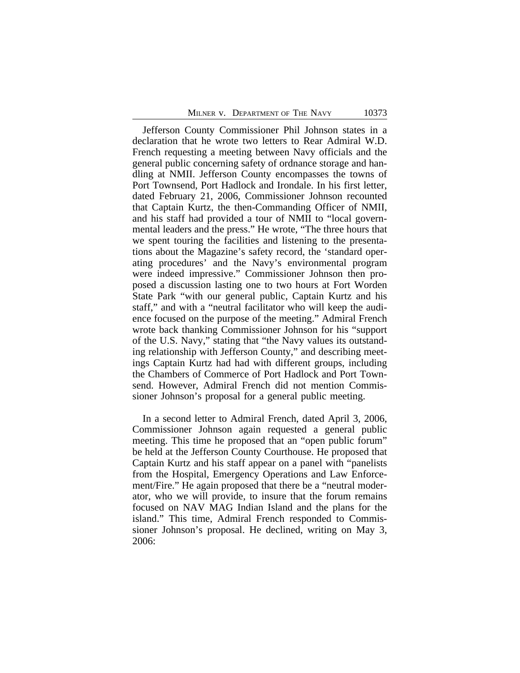Jefferson County Commissioner Phil Johnson states in a declaration that he wrote two letters to Rear Admiral W.D. French requesting a meeting between Navy officials and the general public concerning safety of ordnance storage and handling at NMII. Jefferson County encompasses the towns of Port Townsend, Port Hadlock and Irondale. In his first letter, dated February 21, 2006, Commissioner Johnson recounted that Captain Kurtz, the then-Commanding Officer of NMII, and his staff had provided a tour of NMII to "local governmental leaders and the press." He wrote, "The three hours that we spent touring the facilities and listening to the presentations about the Magazine's safety record, the 'standard operating procedures' and the Navy's environmental program were indeed impressive." Commissioner Johnson then proposed a discussion lasting one to two hours at Fort Worden State Park "with our general public, Captain Kurtz and his staff," and with a "neutral facilitator who will keep the audience focused on the purpose of the meeting." Admiral French wrote back thanking Commissioner Johnson for his "support of the U.S. Navy," stating that "the Navy values its outstanding relationship with Jefferson County," and describing meetings Captain Kurtz had had with different groups, including the Chambers of Commerce of Port Hadlock and Port Townsend. However, Admiral French did not mention Commissioner Johnson's proposal for a general public meeting.

In a second letter to Admiral French, dated April 3, 2006, Commissioner Johnson again requested a general public meeting. This time he proposed that an "open public forum" be held at the Jefferson County Courthouse. He proposed that Captain Kurtz and his staff appear on a panel with "panelists from the Hospital, Emergency Operations and Law Enforcement/Fire." He again proposed that there be a "neutral moderator, who we will provide, to insure that the forum remains focused on NAV MAG Indian Island and the plans for the island." This time, Admiral French responded to Commissioner Johnson's proposal. He declined, writing on May 3, 2006: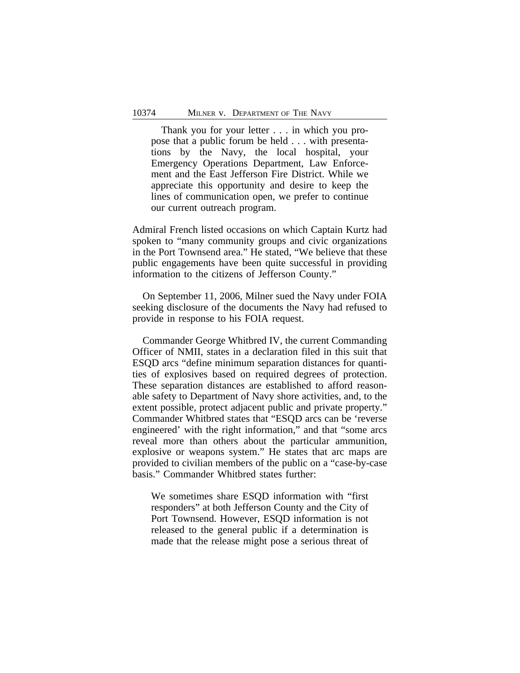Thank you for your letter . . . in which you propose that a public forum be held . . . with presentations by the Navy, the local hospital, your Emergency Operations Department, Law Enforcement and the East Jefferson Fire District. While we appreciate this opportunity and desire to keep the lines of communication open, we prefer to continue our current outreach program.

Admiral French listed occasions on which Captain Kurtz had spoken to "many community groups and civic organizations in the Port Townsend area." He stated, "We believe that these public engagements have been quite successful in providing information to the citizens of Jefferson County."

On September 11, 2006, Milner sued the Navy under FOIA seeking disclosure of the documents the Navy had refused to provide in response to his FOIA request.

Commander George Whitbred IV, the current Commanding Officer of NMII, states in a declaration filed in this suit that ESQD arcs "define minimum separation distances for quantities of explosives based on required degrees of protection. These separation distances are established to afford reasonable safety to Department of Navy shore activities, and, to the extent possible, protect adjacent public and private property." Commander Whitbred states that "ESQD arcs can be 'reverse engineered' with the right information," and that "some arcs reveal more than others about the particular ammunition, explosive or weapons system." He states that arc maps are provided to civilian members of the public on a "case-by-case basis." Commander Whitbred states further:

We sometimes share ESQD information with "first responders" at both Jefferson County and the City of Port Townsend. However, ESQD information is not released to the general public if a determination is made that the release might pose a serious threat of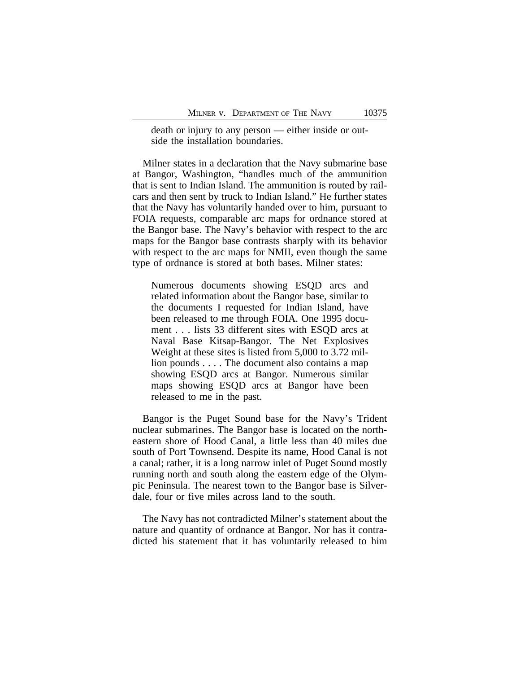death or injury to any person — either inside or outside the installation boundaries.

Milner states in a declaration that the Navy submarine base at Bangor, Washington, "handles much of the ammunition that is sent to Indian Island. The ammunition is routed by railcars and then sent by truck to Indian Island." He further states that the Navy has voluntarily handed over to him, pursuant to FOIA requests, comparable arc maps for ordnance stored at the Bangor base. The Navy's behavior with respect to the arc maps for the Bangor base contrasts sharply with its behavior with respect to the arc maps for NMII, even though the same type of ordnance is stored at both bases. Milner states:

Numerous documents showing ESQD arcs and related information about the Bangor base, similar to the documents I requested for Indian Island, have been released to me through FOIA. One 1995 document . . . lists 33 different sites with ESQD arcs at Naval Base Kitsap-Bangor. The Net Explosives Weight at these sites is listed from 5,000 to 3.72 million pounds . . . . The document also contains a map showing ESQD arcs at Bangor. Numerous similar maps showing ESQD arcs at Bangor have been released to me in the past.

Bangor is the Puget Sound base for the Navy's Trident nuclear submarines. The Bangor base is located on the northeastern shore of Hood Canal, a little less than 40 miles due south of Port Townsend. Despite its name, Hood Canal is not a canal; rather, it is a long narrow inlet of Puget Sound mostly running north and south along the eastern edge of the Olympic Peninsula. The nearest town to the Bangor base is Silverdale, four or five miles across land to the south.

The Navy has not contradicted Milner's statement about the nature and quantity of ordnance at Bangor. Nor has it contradicted his statement that it has voluntarily released to him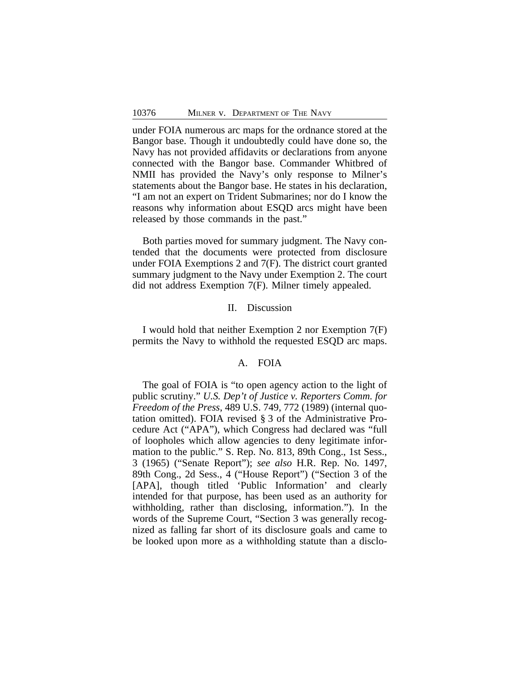under FOIA numerous arc maps for the ordnance stored at the Bangor base. Though it undoubtedly could have done so, the Navy has not provided affidavits or declarations from anyone connected with the Bangor base. Commander Whitbred of NMII has provided the Navy's only response to Milner's statements about the Bangor base. He states in his declaration, "I am not an expert on Trident Submarines; nor do I know the reasons why information about ESQD arcs might have been released by those commands in the past."

Both parties moved for summary judgment. The Navy contended that the documents were protected from disclosure under FOIA Exemptions 2 and 7(F). The district court granted summary judgment to the Navy under Exemption 2. The court did not address Exemption 7(F). Milner timely appealed.

# II. Discussion

I would hold that neither Exemption 2 nor Exemption 7(F) permits the Navy to withhold the requested ESQD arc maps.

#### A. FOIA

The goal of FOIA is "to open agency action to the light of public scrutiny." *U.S. Dep't of Justice v. Reporters Comm. for Freedom of the Press*, 489 U.S. 749, 772 (1989) (internal quotation omitted). FOIA revised § 3 of the Administrative Procedure Act ("APA"), which Congress had declared was "full of loopholes which allow agencies to deny legitimate information to the public." S. Rep. No. 813, 89th Cong., 1st Sess., 3 (1965) ("Senate Report"); *see also* H.R. Rep. No. 1497, 89th Cong., 2d Sess., 4 ("House Report") ("Section 3 of the [APA], though titled 'Public Information' and clearly intended for that purpose, has been used as an authority for withholding, rather than disclosing, information."). In the words of the Supreme Court, "Section 3 was generally recognized as falling far short of its disclosure goals and came to be looked upon more as a withholding statute than a disclo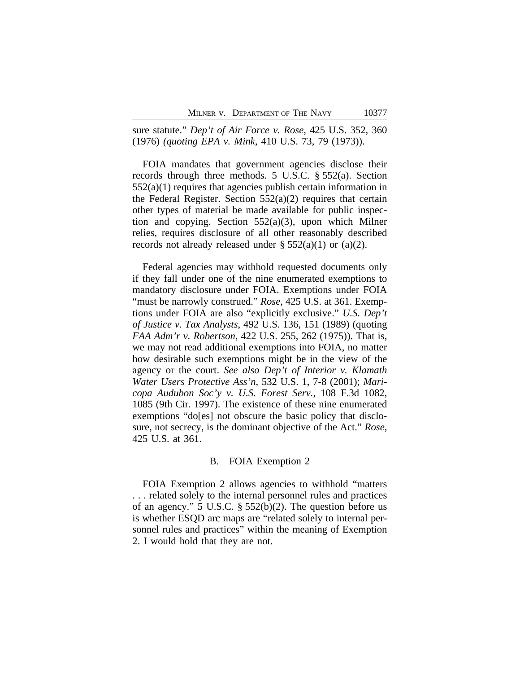sure statute." *Dep't of Air Force v. Rose*, 425 U.S. 352, 360 (1976) *(quoting EPA v. Mink*, 410 U.S. 73, 79 (1973)).

FOIA mandates that government agencies disclose their records through three methods. 5 U.S.C. § 552(a). Section 552(a)(1) requires that agencies publish certain information in the Federal Register. Section  $552(a)(2)$  requires that certain other types of material be made available for public inspection and copying. Section 552(a)(3), upon which Milner relies, requires disclosure of all other reasonably described records not already released under  $\S$  552(a)(1) or (a)(2).

Federal agencies may withhold requested documents only if they fall under one of the nine enumerated exemptions to mandatory disclosure under FOIA. Exemptions under FOIA "must be narrowly construed." *Rose*, 425 U.S. at 361. Exemptions under FOIA are also "explicitly exclusive." *U.S. Dep't of Justice v. Tax Analysts*, 492 U.S. 136, 151 (1989) (quoting *FAA Adm'r v. Robertson*, 422 U.S. 255, 262 (1975)). That is, we may not read additional exemptions into FOIA, no matter how desirable such exemptions might be in the view of the agency or the court. *See also Dep't of Interior v. Klamath Water Users Protective Ass'n*, 532 U.S. 1, 7-8 (2001); *Maricopa Audubon Soc'y v. U.S. Forest Serv.*, 108 F.3d 1082, 1085 (9th Cir. 1997). The existence of these nine enumerated exemptions "do[es] not obscure the basic policy that disclosure, not secrecy, is the dominant objective of the Act." *Rose*, 425 U.S. at 361.

#### B. FOIA Exemption 2

FOIA Exemption 2 allows agencies to withhold "matters . . . related solely to the internal personnel rules and practices of an agency." 5 U.S.C. § 552(b)(2). The question before us is whether ESQD arc maps are "related solely to internal personnel rules and practices" within the meaning of Exemption 2. I would hold that they are not.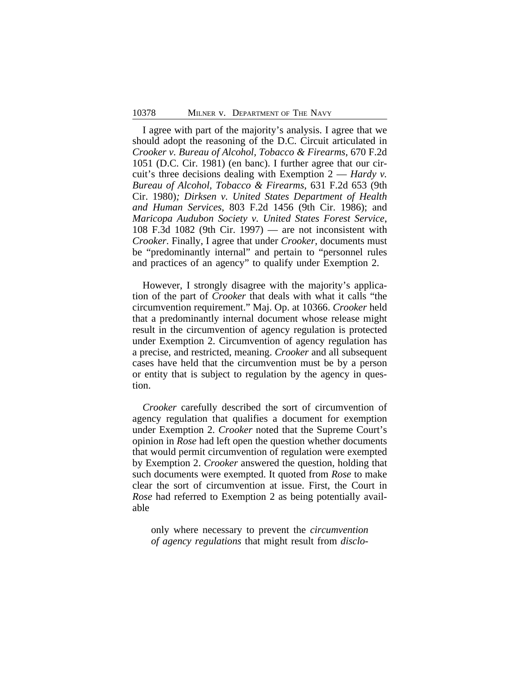I agree with part of the majority's analysis. I agree that we should adopt the reasoning of the D.C. Circuit articulated in *Crooker v. Bureau of Alcohol, Tobacco & Firearms*, 670 F.2d 1051 (D.C. Cir. 1981) (en banc). I further agree that our circuit's three decisions dealing with Exemption 2 — *Hardy v. Bureau of Alcohol, Tobacco & Firearms*, 631 F.2d 653 (9th Cir. 1980)*; Dirksen v. United States Department of Health and Human Services*, 803 F.2d 1456 (9th Cir. 1986); and *Maricopa Audubon Society v. United States Forest Service*, 108 F.3d 1082 (9th Cir. 1997) — are not inconsistent with *Crooker*. Finally, I agree that under *Crooker*, documents must be "predominantly internal" and pertain to "personnel rules and practices of an agency" to qualify under Exemption 2.

However, I strongly disagree with the majority's application of the part of *Crooker* that deals with what it calls "the circumvention requirement." Maj. Op. at 10366. *Crooker* held that a predominantly internal document whose release might result in the circumvention of agency regulation is protected under Exemption 2. Circumvention of agency regulation has a precise, and restricted, meaning. *Crooker* and all subsequent cases have held that the circumvention must be by a person or entity that is subject to regulation by the agency in question.

*Crooker* carefully described the sort of circumvention of agency regulation that qualifies a document for exemption under Exemption 2. *Crooker* noted that the Supreme Court's opinion in *Rose* had left open the question whether documents that would permit circumvention of regulation were exempted by Exemption 2. *Crooker* answered the question*,* holding that such documents were exempted. It quoted from *Rose* to make clear the sort of circumvention at issue. First, the Court in *Rose* had referred to Exemption 2 as being potentially available

only where necessary to prevent the *circumvention of agency regulations* that might result from *disclo-*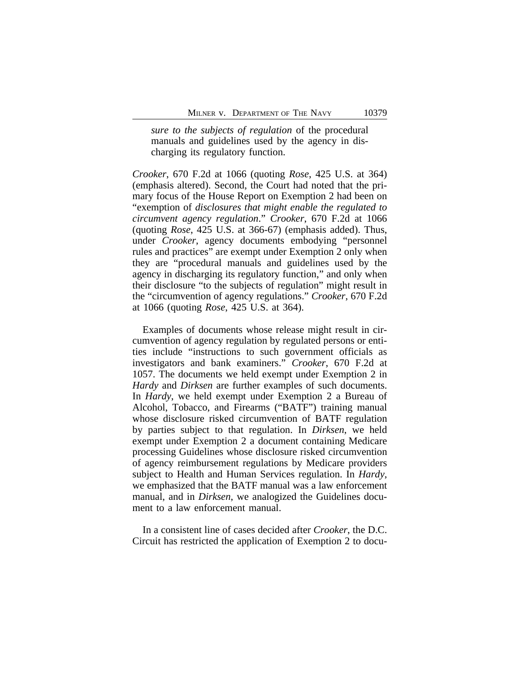*sure to the subjects of regulation* of the procedural manuals and guidelines used by the agency in discharging its regulatory function.

*Crooker*, 670 F.2d at 1066 (quoting *Rose*, 425 U.S. at 364) (emphasis altered). Second, the Court had noted that the primary focus of the House Report on Exemption 2 had been on "exemption of *disclosures that might enable the regulated to circumvent agency regulation*." *Crooker*, 670 F.2d at 1066 (quoting *Rose*, 425 U.S. at 366-67) (emphasis added). Thus, under *Crooker*, agency documents embodying "personnel rules and practices" are exempt under Exemption 2 only when they are "procedural manuals and guidelines used by the agency in discharging its regulatory function," and only when their disclosure "to the subjects of regulation" might result in the "circumvention of agency regulations." *Crooker*, 670 F.2d at 1066 (quoting *Rose*, 425 U.S. at 364).

Examples of documents whose release might result in circumvention of agency regulation by regulated persons or entities include "instructions to such government officials as investigators and bank examiners." *Crooker*, 670 F.2d at 1057. The documents we held exempt under Exemption 2 in *Hardy* and *Dirksen* are further examples of such documents. In *Hardy*, we held exempt under Exemption 2 a Bureau of Alcohol, Tobacco, and Firearms ("BATF") training manual whose disclosure risked circumvention of BATF regulation by parties subject to that regulation. In *Dirksen*, we held exempt under Exemption 2 a document containing Medicare processing Guidelines whose disclosure risked circumvention of agency reimbursement regulations by Medicare providers subject to Health and Human Services regulation. In *Hardy*, we emphasized that the BATF manual was a law enforcement manual, and in *Dirksen*, we analogized the Guidelines document to a law enforcement manual.

In a consistent line of cases decided after *Crooker*, the D.C. Circuit has restricted the application of Exemption 2 to docu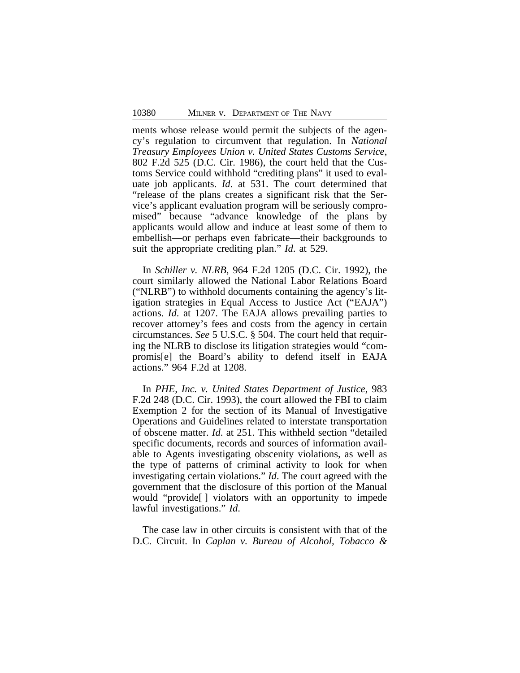ments whose release would permit the subjects of the agency's regulation to circumvent that regulation. In *National Treasury Employees Union v. United States Customs Service*, 802 F.2d 525 (D.C. Cir. 1986), the court held that the Customs Service could withhold "crediting plans" it used to evaluate job applicants. *Id*. at 531. The court determined that "release of the plans creates a significant risk that the Service's applicant evaluation program will be seriously compromised" because "advance knowledge of the plans by applicants would allow and induce at least some of them to embellish—or perhaps even fabricate—their backgrounds to suit the appropriate crediting plan." *Id*. at 529.

In *Schiller v. NLRB*, 964 F.2d 1205 (D.C. Cir. 1992), the court similarly allowed the National Labor Relations Board ("NLRB") to withhold documents containing the agency's litigation strategies in Equal Access to Justice Act ("EAJA") actions. *Id*. at 1207. The EAJA allows prevailing parties to recover attorney's fees and costs from the agency in certain circumstances. *See* 5 U.S.C. § 504. The court held that requiring the NLRB to disclose its litigation strategies would "compromis[e] the Board's ability to defend itself in EAJA actions." 964 F.2d at 1208.

In *PHE, Inc. v. United States Department of Justice*, 983 F.2d 248 (D.C. Cir. 1993), the court allowed the FBI to claim Exemption 2 for the section of its Manual of Investigative Operations and Guidelines related to interstate transportation of obscene matter. *Id*. at 251. This withheld section "detailed specific documents, records and sources of information available to Agents investigating obscenity violations, as well as the type of patterns of criminal activity to look for when investigating certain violations." *Id*. The court agreed with the government that the disclosure of this portion of the Manual would "provide[ ] violators with an opportunity to impede lawful investigations." *Id*.

The case law in other circuits is consistent with that of the D.C. Circuit. In *Caplan v. Bureau of Alcohol, Tobacco &*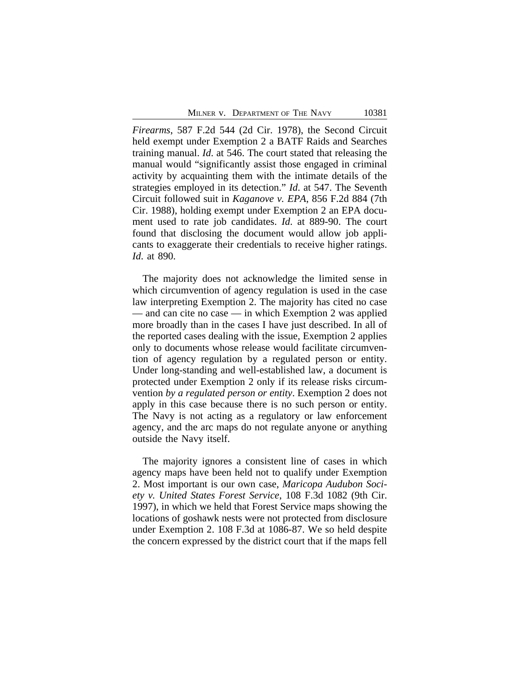*Firearms*, 587 F.2d 544 (2d Cir. 1978), the Second Circuit held exempt under Exemption 2 a BATF Raids and Searches training manual. *Id*. at 546. The court stated that releasing the manual would "significantly assist those engaged in criminal activity by acquainting them with the intimate details of the strategies employed in its detection." *Id*. at 547. The Seventh Circuit followed suit in *Kaganove v. EPA*, 856 F.2d 884 (7th Cir. 1988), holding exempt under Exemption 2 an EPA document used to rate job candidates. *Id*. at 889-90. The court found that disclosing the document would allow job applicants to exaggerate their credentials to receive higher ratings. *Id*. at 890.

The majority does not acknowledge the limited sense in which circumvention of agency regulation is used in the case law interpreting Exemption 2. The majority has cited no case — and can cite no case — in which Exemption 2 was applied more broadly than in the cases I have just described. In all of the reported cases dealing with the issue, Exemption 2 applies only to documents whose release would facilitate circumvention of agency regulation by a regulated person or entity. Under long-standing and well-established law, a document is protected under Exemption 2 only if its release risks circumvention *by a regulated person or entity*. Exemption 2 does not apply in this case because there is no such person or entity. The Navy is not acting as a regulatory or law enforcement agency, and the arc maps do not regulate anyone or anything outside the Navy itself.

The majority ignores a consistent line of cases in which agency maps have been held not to qualify under Exemption 2. Most important is our own case, *Maricopa Audubon Society v. United States Forest Service*, 108 F.3d 1082 (9th Cir. 1997), in which we held that Forest Service maps showing the locations of goshawk nests were not protected from disclosure under Exemption 2. 108 F.3d at 1086-87. We so held despite the concern expressed by the district court that if the maps fell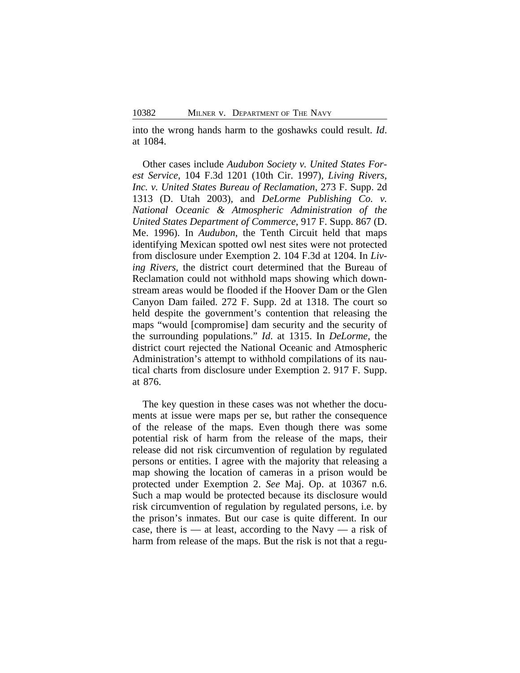into the wrong hands harm to the goshawks could result. *Id*. at 1084.

Other cases include *Audubon Society v. United States Forest Service*, 104 F.3d 1201 (10th Cir. 1997), *Living Rivers, Inc. v. United States Bureau of Reclamation*, 273 F. Supp. 2d 1313 (D. Utah 2003), and *DeLorme Publishing Co. v. National Oceanic & Atmospheric Administration of the United States Department of Commerce*, 917 F. Supp. 867 (D. Me. 1996). In *Audubon*, the Tenth Circuit held that maps identifying Mexican spotted owl nest sites were not protected from disclosure under Exemption 2. 104 F.3d at 1204. In *Living Rivers*, the district court determined that the Bureau of Reclamation could not withhold maps showing which downstream areas would be flooded if the Hoover Dam or the Glen Canyon Dam failed. 272 F. Supp. 2d at 1318. The court so held despite the government's contention that releasing the maps "would [compromise] dam security and the security of the surrounding populations." *Id*. at 1315. In *DeLorme*, the district court rejected the National Oceanic and Atmospheric Administration's attempt to withhold compilations of its nautical charts from disclosure under Exemption 2. 917 F. Supp. at 876.

The key question in these cases was not whether the documents at issue were maps per se, but rather the consequence of the release of the maps. Even though there was some potential risk of harm from the release of the maps, their release did not risk circumvention of regulation by regulated persons or entities. I agree with the majority that releasing a map showing the location of cameras in a prison would be protected under Exemption 2. *See* Maj. Op. at 10367 n.6. Such a map would be protected because its disclosure would risk circumvention of regulation by regulated persons, i.e. by the prison's inmates. But our case is quite different. In our case, there is — at least, according to the Navy — a risk of harm from release of the maps. But the risk is not that a regu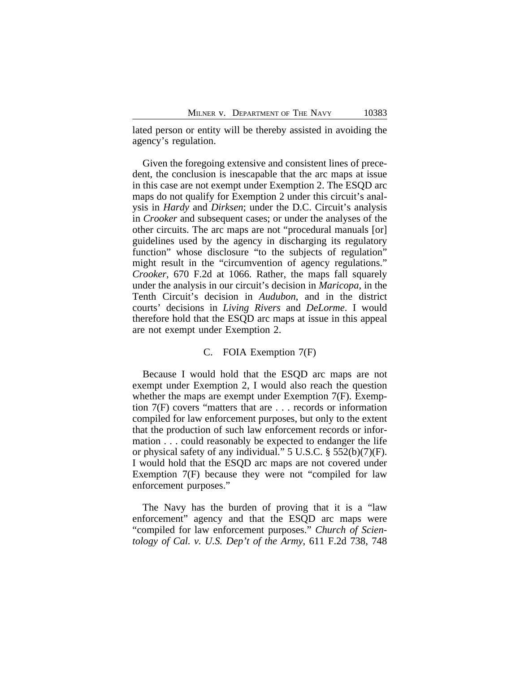lated person or entity will be thereby assisted in avoiding the agency's regulation.

Given the foregoing extensive and consistent lines of precedent, the conclusion is inescapable that the arc maps at issue in this case are not exempt under Exemption 2. The ESQD arc maps do not qualify for Exemption 2 under this circuit's analysis in *Hardy* and *Dirksen*; under the D.C. Circuit's analysis in *Crooker* and subsequent cases; or under the analyses of the other circuits. The arc maps are not "procedural manuals [or] guidelines used by the agency in discharging its regulatory function" whose disclosure "to the subjects of regulation" might result in the "circumvention of agency regulations." *Crooker*, 670 F.2d at 1066. Rather, the maps fall squarely under the analysis in our circuit's decision in *Maricopa*, in the Tenth Circuit's decision in *Audubon*, and in the district courts' decisions in *Living Rivers* and *DeLorme*. I would therefore hold that the ESQD arc maps at issue in this appeal are not exempt under Exemption 2.

#### C. FOIA Exemption 7(F)

Because I would hold that the ESQD arc maps are not exempt under Exemption 2, I would also reach the question whether the maps are exempt under Exemption 7(F). Exemption 7(F) covers "matters that are . . . records or information compiled for law enforcement purposes, but only to the extent that the production of such law enforcement records or information . . . could reasonably be expected to endanger the life or physical safety of any individual." 5 U.S.C. § 552(b)(7)(F). I would hold that the ESQD arc maps are not covered under Exemption 7(F) because they were not "compiled for law enforcement purposes."

The Navy has the burden of proving that it is a "law enforcement" agency and that the ESQD arc maps were "compiled for law enforcement purposes." *Church of Scientology of Cal. v. U.S. Dep't of the Army*, 611 F.2d 738, 748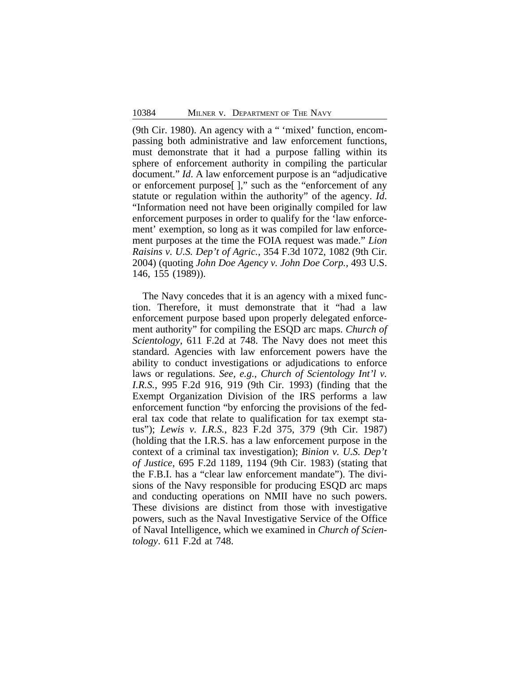(9th Cir. 1980). An agency with a " 'mixed' function, encompassing both administrative and law enforcement functions, must demonstrate that it had a purpose falling within its sphere of enforcement authority in compiling the particular document." *Id*. A law enforcement purpose is an "adjudicative or enforcement purpose[ ]," such as the "enforcement of any statute or regulation within the authority" of the agency. *Id*. "Information need not have been originally compiled for law enforcement purposes in order to qualify for the 'law enforcement' exemption, so long as it was compiled for law enforcement purposes at the time the FOIA request was made." *Lion Raisins v. U.S. Dep't of Agric.*, 354 F.3d 1072, 1082 (9th Cir. 2004) (quoting *John Doe Agency v. John Doe Corp.*, 493 U.S. 146, 155 (1989)).

The Navy concedes that it is an agency with a mixed function. Therefore, it must demonstrate that it "had a law enforcement purpose based upon properly delegated enforcement authority" for compiling the ESQD arc maps. *Church of Scientology*, 611 F.2d at 748. The Navy does not meet this standard. Agencies with law enforcement powers have the ability to conduct investigations or adjudications to enforce laws or regulations. *See, e.g.*, *Church of Scientology Int'l v. I.R.S.*, 995 F.2d 916, 919 (9th Cir. 1993) (finding that the Exempt Organization Division of the IRS performs a law enforcement function "by enforcing the provisions of the federal tax code that relate to qualification for tax exempt status"); *Lewis v. I.R.S.*, 823 F.2d 375, 379 (9th Cir. 1987) (holding that the I.R.S. has a law enforcement purpose in the context of a criminal tax investigation); *Binion v. U.S. Dep't of Justice*, 695 F.2d 1189, 1194 (9th Cir. 1983) (stating that the F.B.I. has a "clear law enforcement mandate"). The divisions of the Navy responsible for producing ESQD arc maps and conducting operations on NMII have no such powers. These divisions are distinct from those with investigative powers, such as the Naval Investigative Service of the Office of Naval Intelligence, which we examined in *Church of Scientology*. 611 F.2d at 748.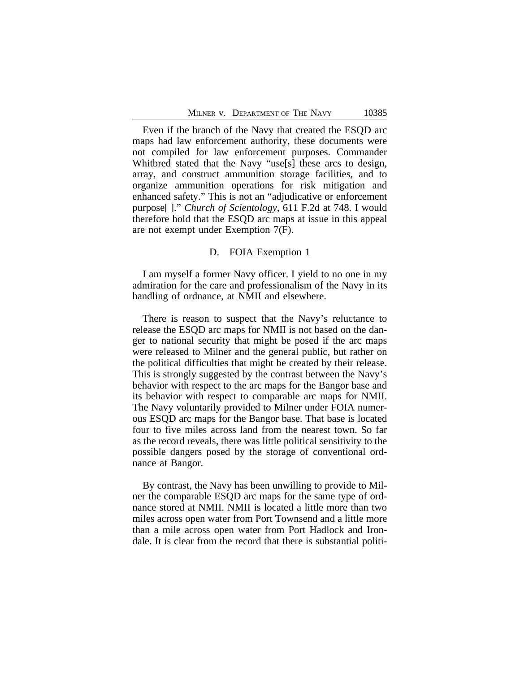Even if the branch of the Navy that created the ESQD arc maps had law enforcement authority, these documents were not compiled for law enforcement purposes. Commander Whitbred stated that the Navy "use[s] these arcs to design, array, and construct ammunition storage facilities, and to organize ammunition operations for risk mitigation and enhanced safety." This is not an "adjudicative or enforcement purpose[ ]." *Church of Scientology*, 611 F.2d at 748. I would therefore hold that the ESQD arc maps at issue in this appeal are not exempt under Exemption 7(F).

# D. FOIA Exemption 1

I am myself a former Navy officer. I yield to no one in my admiration for the care and professionalism of the Navy in its handling of ordnance, at NMII and elsewhere.

There is reason to suspect that the Navy's reluctance to release the ESQD arc maps for NMII is not based on the danger to national security that might be posed if the arc maps were released to Milner and the general public, but rather on the political difficulties that might be created by their release. This is strongly suggested by the contrast between the Navy's behavior with respect to the arc maps for the Bangor base and its behavior with respect to comparable arc maps for NMII. The Navy voluntarily provided to Milner under FOIA numerous ESQD arc maps for the Bangor base. That base is located four to five miles across land from the nearest town. So far as the record reveals, there was little political sensitivity to the possible dangers posed by the storage of conventional ordnance at Bangor.

By contrast, the Navy has been unwilling to provide to Milner the comparable ESQD arc maps for the same type of ordnance stored at NMII. NMII is located a little more than two miles across open water from Port Townsend and a little more than a mile across open water from Port Hadlock and Irondale. It is clear from the record that there is substantial politi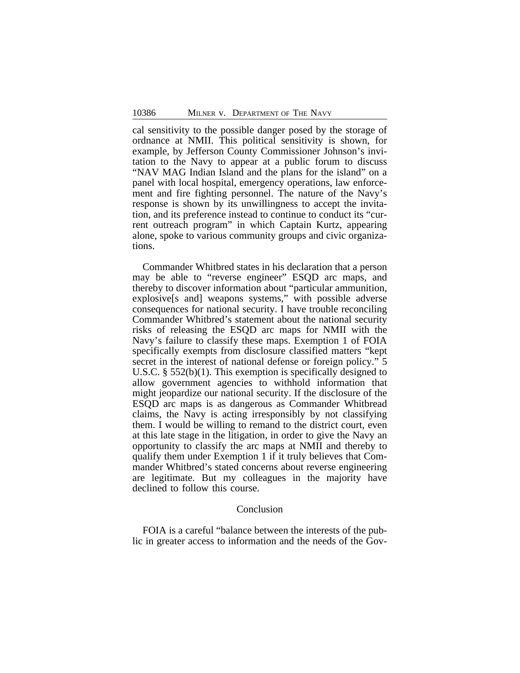cal sensitivity to the possible danger posed by the storage of ordnance at NMII. This political sensitivity is shown, for example, by Jefferson County Commissioner Johnson's invitation to the Navy to appear at a public forum to discuss "NAV MAG Indian Island and the plans for the island" on a panel with local hospital, emergency operations, law enforcement and fire fighting personnel. The nature of the Navy's response is shown by its unwillingness to accept the invitation, and its preference instead to continue to conduct its "current outreach program" in which Captain Kurtz, appearing alone, spoke to various community groups and civic organizations.

Commander Whitbred states in his declaration that a person may be able to "reverse engineer" ESQD arc maps, and thereby to discover information about "particular ammunition, explosive[s and] weapons systems," with possible adverse consequences for national security. I have trouble reconciling Commander Whitbred's statement about the national security risks of releasing the ESQD arc maps for NMII with the Navy's failure to classify these maps. Exemption 1 of FOIA specifically exempts from disclosure classified matters "kept secret in the interest of national defense or foreign policy." 5 U.S.C. § 552(b)(1). This exemption is specifically designed to allow government agencies to withhold information that might jeopardize our national security. If the disclosure of the ESQD arc maps is as dangerous as Commander Whitbread claims, the Navy is acting irresponsibly by not classifying them. I would be willing to remand to the district court, even at this late stage in the litigation, in order to give the Navy an opportunity to classify the arc maps at NMII and thereby to qualify them under Exemption 1 if it truly believes that Commander Whitbred's stated concerns about reverse engineering are legitimate. But my colleagues in the majority have declined to follow this course.

# Conclusion

FOIA is a careful "balance between the interests of the public in greater access to information and the needs of the Gov